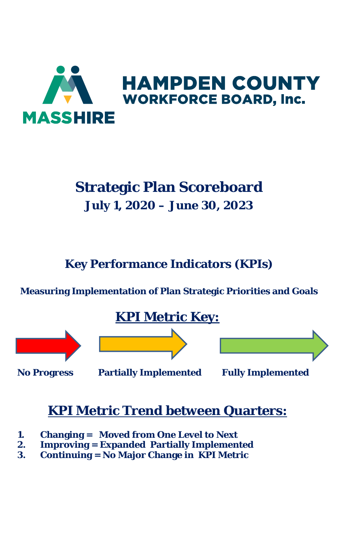

# **Strategic Plan Scoreboard July 1, 2020 – June 30, 2023**

**Key Performance Indicators (KPIs)**

**Measuring Implementation of Plan Strategic Priorities and Goals**

# **KPI Metric Key:**







**No Progress Partially Implemented Fully Implemented** 

# **KPI Metric Trend between Quarters:**

- **1. Changing = Moved from One Level to Next**
- **2. Improving = Expanded Partially Implemented**
- **3. Continuing = No Major Change in KPI Metric**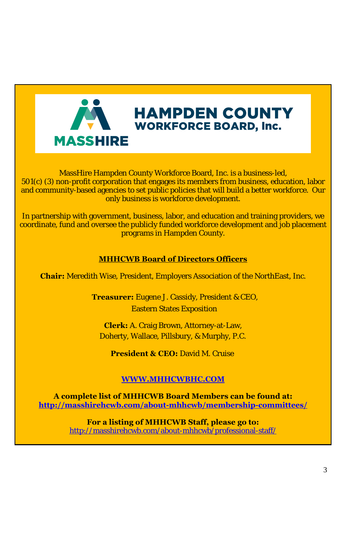

MassHire Hampden County Workforce Board, Inc. is a business-led, 501(c) (3) non-profit corporation that engages its members from business, education, labor and community-based agencies to set public policies that will build a better workforce. Our only business is workforce development.

In partnership with government, business, labor, and education and training providers, we coordinate, fund and oversee the publicly funded workforce development and job placement programs in Hampden County.

#### **MHHCWB Board of Directors Officers**

**Chair:** Meredith Wise, President, Employers Association of the NorthEast, Inc.

**Treasurer:** Eugene J. Cassidy, President & CEO, Eastern States Exposition

**Clerk:** A. Craig Brown, Attorney-at-Law, Doherty, Wallace, Pillsbury, & Murphy, P.C.

**President & CEO:** David M. Cruise

#### **WWW.MHHCWBHC.COM**

**A complete list of MHHCWB Board Members can be found at: http://masshirehcwb.com/about-mhhcwb/membership-committees/** 

> **For a listing of MHHCWB Staff, please go to:**  http://masshirehcwb.com/about-mhhcwb/professional-staff/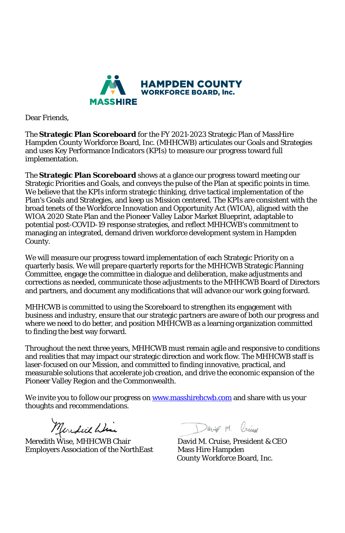

Dear Friends,

The **Strategic Plan Scoreboard** for the FY 2021-2023 Strategic Plan of MassHire Hampden County Workforce Board, Inc. (MHHCWB) articulates our Goals and Strategies and uses Key Performance Indicators (KPIs) to measure our progress toward full implementation.

The **Strategic Plan Scoreboard** shows at a glance our progress toward meeting our Strategic Priorities and Goals, and conveys the pulse of the Plan at specific points in time. We believe that the KPIs inform strategic thinking, drive tactical implementation of the Plan's Goals and Strategies, and keep us Mission centered. The KPIs are consistent with the broad tenets of the Workforce Innovation and Opportunity Act (WIOA), aligned with the WIOA 2020 State Plan and the Pioneer Valley Labor Market Blueprint, adaptable to potential post-COVID-19 response strategies, and reflect MHHCWB's commitment to managing an integrated, demand driven workforce development system in Hampden County.

We will measure our progress toward implementation of each Strategic Priority on a quarterly basis. We will prepare quarterly reports for the MHHCWB Strategic Planning Committee, engage the committee in dialogue and deliberation, make adjustments and corrections as needed, communicate those adjustments to the MHHCWB Board of Directors and partners, and document any modifications that will advance our work going forward.

MHHCWB is committed to using the Scoreboard to strengthen its engagement with business and industry, ensure that our strategic partners are aware of both our progress and where we need to do better, and position MHHCWB as a learning organization committed to finding the best way forward.

Throughout the next three years, MHHCWB must remain agile and responsive to conditions and realities that may impact our strategic direction and work flow. The MHHCWB staff is laser-focused on our Mission, and committed to finding innovative, practical, and measurable solutions that accelerate job creation, and drive the economic expansion of the Pioneer Valley Region and the Common[wealth.](http://www.masshirehcwb.com/) 

We invite you to follow our progress on www.masshirehcwb.com and share with us your thoughts and recommendations.

Meredith Wise, MHHCWB Chair<br>Meredith Wise, MHHCWB Chair David M. Cruise, President & CEO<br>Employers Association of the NorthEast Mass Hire Hampden Employers Association of the NorthEast

David M Oring

County Workforce Board, Inc.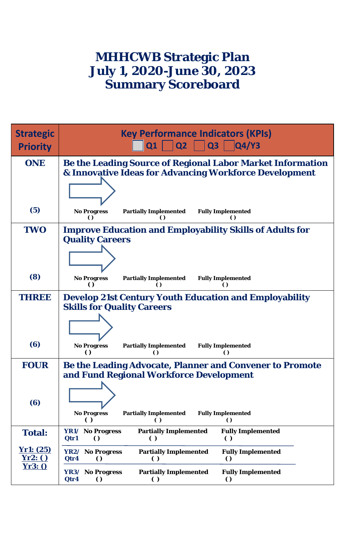### **MHHCWB Strategic Plan July 1, 2020-June 30, 2023 Summary Scoreboard**

| <b>Strategic</b><br><b>Priority</b> | <b>Key Performance Indicators (KPIs)</b><br>Q3<br>QQ4/Y3<br>Q1<br>Q2                                                                     |
|-------------------------------------|------------------------------------------------------------------------------------------------------------------------------------------|
| <b>ONE</b>                          | Be the Leading Source of Regional Labor Market Information<br>& Innovative Ideas for Advancing Workforce Development                     |
| (5)                                 | <b>No Progress</b><br><b>Partially Implemented</b><br><b>Fully Implemented</b><br>$\Omega$<br>$\Omega$<br>$\Omega$                       |
| <b>TWO</b>                          | <b>Improve Education and Employability Skills of Adults for</b><br><b>Quality Careers</b>                                                |
| (8)                                 | <b>No Progress</b><br><b>Partially Implemented</b><br><b>Fully Implemented</b><br>$\epsilon$<br>$\Omega$<br>$\Omega$                     |
| THREE                               | <b>Develop 21st Century Youth Education and Employability</b><br><b>Skills for Quality Careers</b>                                       |
| (6)                                 | <b>No Progress</b><br><b>Partially Implemented</b><br><b>Fully Implemented</b><br>$\Omega$<br>$\Omega$<br>$\Omega$                       |
| <b>FOUR</b><br>(6)                  | Be the Leading Advocate, Planner and Convener to Promote<br>and Fund Regional Workforce Development                                      |
|                                     | <b>No Progress</b><br><b>Partially Implemented</b><br><b>Fully Implemented</b><br>$\left( \right)$<br>$\left( \ \right)$<br>$\theta$     |
| <b>Total:</b>                       | <b>Partially Implemented</b><br>YR1/ No Progress<br><b>Fully Implemented</b><br>Qtr1<br>$\Omega$<br>$\left( \right)$<br>$\left( \right)$ |
| Yr1: (25)<br>Yr2:()                 | <b>Partially Implemented</b><br><b>Fully Implemented</b><br>YR2/ No Progress<br>Qtr4<br>$\Omega$<br>$\Omega$<br>$\left( \right)$         |
| Yr3:0                               | YR3/ No Progress<br><b>Partially Implemented</b><br><b>Fully Implemented</b><br>Qtr4<br>$\Omega$<br>$\Omega$<br>$\epsilon$               |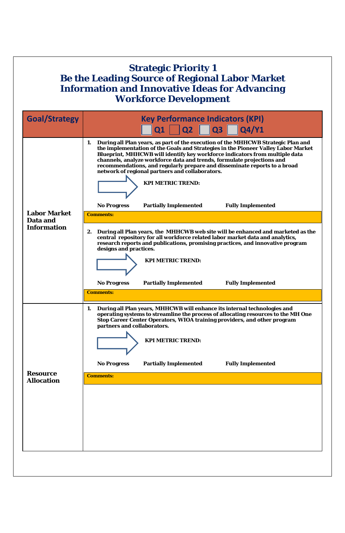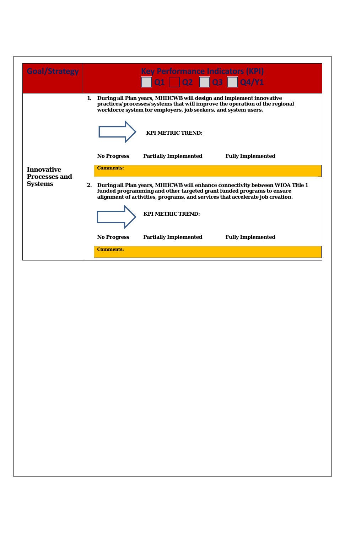|                                           |  | $\Box$ Q1 $\Box$ Q2 $\Box$ Q3 $\Box$ Q4/Y1<br>1. During all Plan years, MHHCWB will design and implement innovative<br>practices/processes/systems that will improve the operation of the regional                                        |
|-------------------------------------------|--|-------------------------------------------------------------------------------------------------------------------------------------------------------------------------------------------------------------------------------------------|
|                                           |  | workforce system for employers, job seekers, and system users.<br><b>KPI METRIC TREND:</b>                                                                                                                                                |
|                                           |  | <b>Partially Implemented</b><br><b>Fully Implemented</b><br><b>No Progress</b>                                                                                                                                                            |
| <b>Innovative</b><br><b>Processes and</b> |  | <b>Comments:</b>                                                                                                                                                                                                                          |
| <b>Systems</b>                            |  | 2. During all Plan years, MHHCWB will enhance connectivity between WIOA Title 1<br>funded programming and other targeted grant funded programs to ensure<br>alignment of activities, programs, and services that accelerate job creation. |
|                                           |  | <b>KPI METRIC TREND:</b>                                                                                                                                                                                                                  |
|                                           |  | <b>No Progress</b><br><b>Partially Implemented</b><br><b>Fully Implemented</b>                                                                                                                                                            |
|                                           |  | <b>Comments:</b>                                                                                                                                                                                                                          |
|                                           |  |                                                                                                                                                                                                                                           |
|                                           |  |                                                                                                                                                                                                                                           |
|                                           |  |                                                                                                                                                                                                                                           |
|                                           |  |                                                                                                                                                                                                                                           |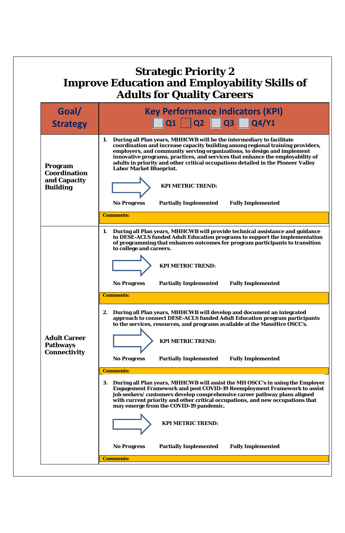| <b>Improve Education and Employability Skills of</b><br><b>Adults for Quality Careers</b> |                                                                                                                                                                                                                                                                                                                                                                                                                                                                                                                                                                                                                                                      |  |  |  |
|-------------------------------------------------------------------------------------------|------------------------------------------------------------------------------------------------------------------------------------------------------------------------------------------------------------------------------------------------------------------------------------------------------------------------------------------------------------------------------------------------------------------------------------------------------------------------------------------------------------------------------------------------------------------------------------------------------------------------------------------------------|--|--|--|
| Goal/                                                                                     | <b>Key Performance Indicators (KPI)</b>                                                                                                                                                                                                                                                                                                                                                                                                                                                                                                                                                                                                              |  |  |  |
| <b>Strategy</b>                                                                           | $Q1 \Box Q2 \Box Q3$<br>$\overline{Q4/Y1}$                                                                                                                                                                                                                                                                                                                                                                                                                                                                                                                                                                                                           |  |  |  |
| Program<br>Coordination<br>and Capacity<br><b>Building</b>                                | 1. During all Plan years, MHHCWB will be the intermediary to facilitate<br>coordination and increase capacity building among regional training providers,<br>employers, and community serving organizations, to design and implement<br>innovative programs, practices, and services that enhance the employability of<br>adults in priority and other critical occupations detailed in the Pioneer Valley<br><b>Labor Market Blueprint.</b><br><b>KPI METRIC TREND:</b>                                                                                                                                                                             |  |  |  |
|                                                                                           | <b>Partially Implemented</b><br><b>No Progress</b><br><b>Fully Implemented</b>                                                                                                                                                                                                                                                                                                                                                                                                                                                                                                                                                                       |  |  |  |
|                                                                                           | <b>Comments:</b>                                                                                                                                                                                                                                                                                                                                                                                                                                                                                                                                                                                                                                     |  |  |  |
|                                                                                           | During all Plan years, MHHCWB will provide technical assistance and guidance<br>1.<br>to DESE-ACLS funded Adult Education programs to support the implementation<br>of programming that enhances outcomes for program participants to transition<br>to college and careers.<br><b>KPI METRIC TREND:</b><br><b>Partially Implemented</b><br><b>Fully Implemented</b><br><b>No Progress</b><br><b>Comments:</b><br>2. During all Plan years, MHHCWB will develop and document an integrated<br>approach to connect DESE-ACLS funded Adult Education program participants<br>to the services, resources, and programs available at the MassHire OSCC's. |  |  |  |
| <b>Adult Career</b><br><b>Pathways</b><br><b>Connectivity</b>                             | <b>KPI METRIC TREND:</b><br><b>Partially Implemented</b><br><b>Fully Implemented</b><br><b>No Progress</b>                                                                                                                                                                                                                                                                                                                                                                                                                                                                                                                                           |  |  |  |
|                                                                                           | <b>Comments:</b>                                                                                                                                                                                                                                                                                                                                                                                                                                                                                                                                                                                                                                     |  |  |  |
|                                                                                           | During all Plan years, MHHCWB will assist the MH OSCC's in using the Employer<br>3.<br><b>Engagement Framework and post COVID-19 Reemployment Framework to assist</b><br>job seekers/ customers develop comprehensive career pathway plans aligned<br>with current priority and other critical occupations, and new occupations that<br>may emerge from the COVID-19 pandemic.<br><b>KPI METRIC TREND:</b><br><b>No Progress</b><br><b>Partially Implemented</b><br><b>Fully Implemented</b>                                                                                                                                                         |  |  |  |
|                                                                                           |                                                                                                                                                                                                                                                                                                                                                                                                                                                                                                                                                                                                                                                      |  |  |  |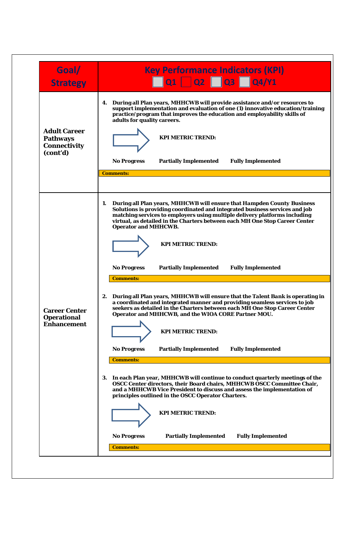| Goal/<br><b>Strategy</b>                                                  | <b>Key Performance Indicators (KPI)</b><br>$\overline{Q1}$ $\overline{Q2}$ $\overline{Q3}$<br>$\sqrt{\frac{1}{100}}$                                                                                                                                                                                                                                                                    |
|---------------------------------------------------------------------------|-----------------------------------------------------------------------------------------------------------------------------------------------------------------------------------------------------------------------------------------------------------------------------------------------------------------------------------------------------------------------------------------|
| <b>Adult Career</b><br><b>Pathways</b><br><b>Connectivity</b><br>(cont'd) | 4. During all Plan years, MHHCWB will provide assistance and/or resources to<br>support implementation and evaluation of one (1) innovative education/training<br>practice/program that improves the education and employability skills of<br>adults for quality careers.<br><b>KPI METRIC TREND:</b><br><b>No Progress</b><br><b>Partially Implemented</b><br><b>Fully Implemented</b> |
|                                                                           | <b>Comments:</b>                                                                                                                                                                                                                                                                                                                                                                        |
|                                                                           | 1. During all Plan years, MHHCWB will ensure that Hampden County Business<br>Solutions is providing coordinated and integrated business services and job<br>matching services to employers using multiple delivery platforms including<br>virtual, as detailed in the Charters between each MH One Stop Career Center<br><b>Operator and MHHCWB.</b>                                    |
|                                                                           | <b>KPI METRIC TREND:</b>                                                                                                                                                                                                                                                                                                                                                                |
|                                                                           | <b>Partially Implemented</b><br><b>Fully Implemented</b><br><b>No Progress</b><br><b>Comments:</b>                                                                                                                                                                                                                                                                                      |
| <b>Career Center</b><br><b>Operational</b>                                | 2. During all Plan years, MHHCWB will ensure that the Talent Bank is operating in<br>a coordinated and integrated manner and providing seamless services to job<br>seekers as detailed in the Charters between each MH One Stop Career Center<br>Operator and MHHCWB, and the WIOA CORE Partner MOU.                                                                                    |
| <b>Enhancement</b>                                                        | <b>KPI METRIC TREND:</b>                                                                                                                                                                                                                                                                                                                                                                |
|                                                                           | <b>No Progress</b><br><b>Partially Implemented</b><br><b>Fully Implemented</b><br><b>Comments:</b>                                                                                                                                                                                                                                                                                      |
|                                                                           | 3. In each Plan year, MHHCWB will continue to conduct quarterly meetings of the<br>OSCC Center directors, their Board chairs, MHHCWB OSCC Committee Chair,<br>and a MHHCWB Vice President to discuss and assess the implementation of<br>principles outlined in the OSCC Operator Charters.                                                                                             |
|                                                                           | <b>KPI METRIC TREND:</b>                                                                                                                                                                                                                                                                                                                                                                |
|                                                                           | <b>No Progress</b><br><b>Partially Implemented</b><br><b>Fully Implemented</b>                                                                                                                                                                                                                                                                                                          |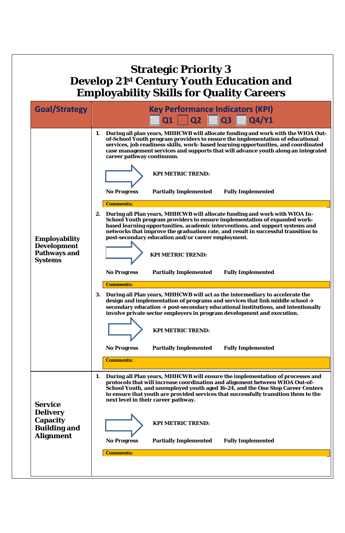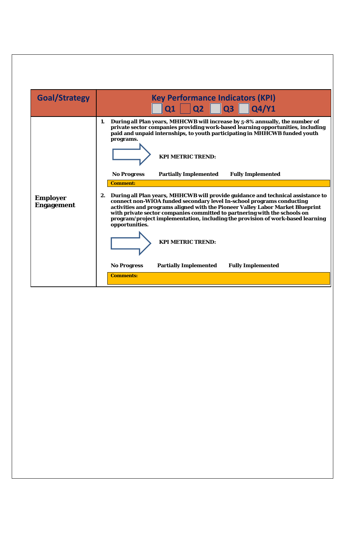| <b>Goal/Strategy</b>                 | <b>Key Performance Indicators (KPI)</b><br>$\overline{Q1}$ $\overline{Q2}$ $\overline{Q3}$ $\overline{Q4/Y1}$                                                                                                                                                                                                                                                                                                                                     |
|--------------------------------------|---------------------------------------------------------------------------------------------------------------------------------------------------------------------------------------------------------------------------------------------------------------------------------------------------------------------------------------------------------------------------------------------------------------------------------------------------|
|                                      | During all Plan years, MHHCWB will increase by 5-8% annually, the number of<br>1.<br>private sector companies providing work-based learning opportunities, including<br>paid and unpaid internships, to youth participating in MHHCWB funded youth<br>programs.<br><b>KPI METRIC TREND:</b><br><b>No Progress</b><br><b>Partially Implemented</b><br><b>Fully Implemented</b>                                                                     |
| <b>Employer</b><br><b>Engagement</b> | <b>Comment:</b><br>2. During all Plan years, MHHCWB will provide guidance and technical assistance to<br>connect non-WIOA funded secondary level In-school programs conducting<br>activities and programs aligned with the Pioneer Valley Labor Market Blueprint<br>with private sector companies committed to partnering with the schools on<br>program/project implementation, including the provision of work-based learning<br>opportunities. |
|                                      | <b>KPI METRIC TREND:</b><br><b>Fully Implemented</b><br><b>No Progress</b><br><b>Partially Implemented</b><br><b>Comments:</b>                                                                                                                                                                                                                                                                                                                    |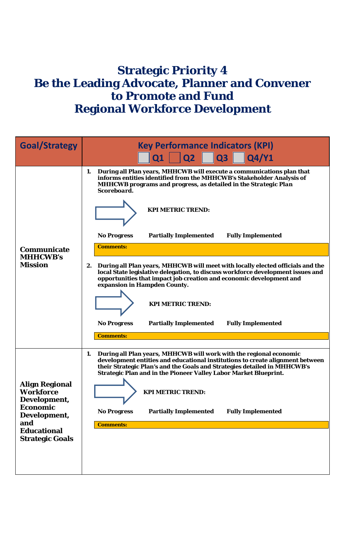### **Strategic Priority 4 Be the Leading Advocate, Planner and Convener to Promote and Fund Regional Workforce Development**

| <b>Goal/Strategy</b>                               | <b>Key Performance Indicators (KPI)</b><br><b>Q3</b><br>Q4/Y1<br>Q2<br>Q1                                                                                                                                                                                                                                  |
|----------------------------------------------------|------------------------------------------------------------------------------------------------------------------------------------------------------------------------------------------------------------------------------------------------------------------------------------------------------------|
|                                                    | During all Plan years, MHHCWB will execute a communications plan that<br>1.<br>informs entities identified from the MHHCWB's Stakeholder Analysis of<br>MHHCWB programs and progress, as detailed in the Strategic Plan<br>Scoreboard.                                                                     |
|                                                    | <b>KPI METRIC TREND:</b>                                                                                                                                                                                                                                                                                   |
|                                                    | <b>Fully Implemented</b><br><b>No Progress</b><br><b>Partially Implemented</b>                                                                                                                                                                                                                             |
| Communicate<br><b>MHHCWB's</b>                     | <b>Comments:</b>                                                                                                                                                                                                                                                                                           |
| <b>Mission</b>                                     | During all Plan years, MHHCWB will meet with locally elected officials and the<br>2.<br>local State legislative delegation, to discuss workforce development issues and<br>opportunities that impact job creation and economic development and<br>expansion in Hampden County.<br><b>KPI METRIC TREND:</b> |
|                                                    | <b>Partially Implemented</b><br><b>Fully Implemented</b><br><b>No Progress</b>                                                                                                                                                                                                                             |
|                                                    | <b>Comments:</b>                                                                                                                                                                                                                                                                                           |
|                                                    | During all Plan years, MHHCWB will work with the regional economic<br>1.<br>development entities and educational institutions to create alignment between<br>their Strategic Plan's and the Goals and Strategies detailed in MHHCWB's<br>Strategic Plan and in the Pioneer Valley Labor Market Blueprint.  |
| <b>Align Regional</b><br>Workforce<br>Development, | <b>KPI METRIC TREND:</b>                                                                                                                                                                                                                                                                                   |
| <b>Economic</b><br>Development,                    | <b>Partially Implemented</b><br><b>Fully Implemented</b><br><b>No Progress</b>                                                                                                                                                                                                                             |
| and<br><b>Educational</b>                          | <b>Comments:</b>                                                                                                                                                                                                                                                                                           |
| <b>Strategic Goals</b>                             |                                                                                                                                                                                                                                                                                                            |
|                                                    |                                                                                                                                                                                                                                                                                                            |
|                                                    |                                                                                                                                                                                                                                                                                                            |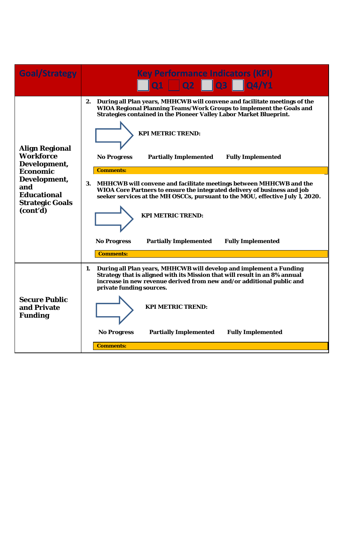| <b>Goal/Strategy</b>                                                                                                                                     | <b>Key Performance Indicators (KPI)</b><br>$\vert$ Q1 $\vert$ Q2 $\vert$ Q3 $\vert$ Q4/Y1                                                                                                                                                                                                                                                                                                                                                                                                                                                                                                                                                                                                                                                  |
|----------------------------------------------------------------------------------------------------------------------------------------------------------|--------------------------------------------------------------------------------------------------------------------------------------------------------------------------------------------------------------------------------------------------------------------------------------------------------------------------------------------------------------------------------------------------------------------------------------------------------------------------------------------------------------------------------------------------------------------------------------------------------------------------------------------------------------------------------------------------------------------------------------------|
| <b>Align Regional</b><br>Workforce<br>Development,<br><b>Economic</b><br>Development,<br>and<br><b>Educational</b><br><b>Strategic Goals</b><br>(cont'd) | 2. During all Plan years, MHHCWB will convene and facilitate meetings of the<br>WIOA Regional Planning Teams/Work Groups to implement the Goals and<br><b>Strategies contained in the Pioneer Valley Labor Market Blueprint.</b><br><b>KPI METRIC TREND:</b><br><b>No Progress</b><br><b>Partially Implemented</b><br><b>Fully Implemented</b><br><b>Comments:</b><br>3. MHHCWB will convene and facilitate meetings between MHHCWB and the<br>WIOA Core Partners to ensure the integrated delivery of business and job<br>seeker services at the MH OSCCs, pursuant to the MOU, effective July 1, 2020.<br><b>KPI METRIC TREND:</b><br><b>No Progress</b><br><b>Partially Implemented</b><br><b>Fully Implemented</b><br><b>Comments:</b> |
| <b>Secure Public</b><br>and Private<br><b>Funding</b>                                                                                                    | During all Plan years, MHHCWB will develop and implement a Funding<br>1.<br>Strategy that is aligned with its Mission that will result in an 8% annual<br>increase in new revenue derived from new and/or additional public and<br>private funding sources.<br><b>KPI METRIC TREND:</b><br><b>No Progress</b><br><b>Partially Implemented</b><br><b>Fully Implemented</b><br><b>Comments:</b>                                                                                                                                                                                                                                                                                                                                              |